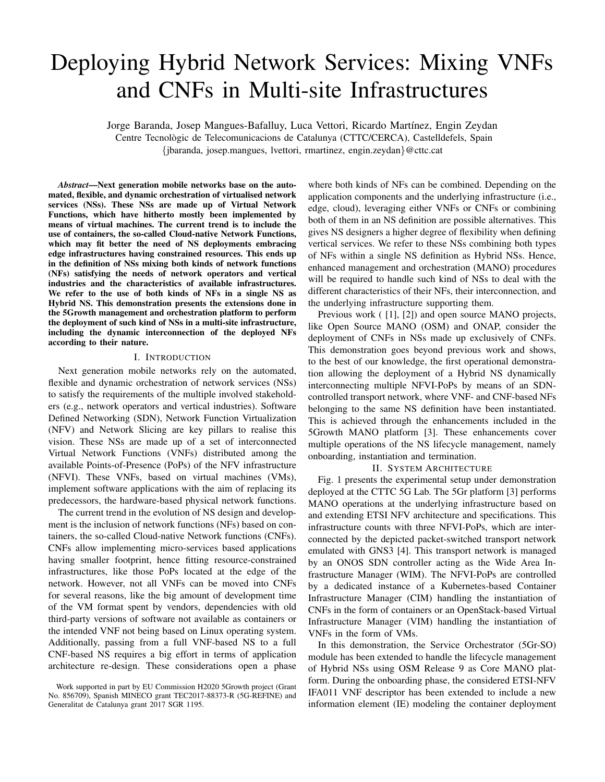# Deploying Hybrid Network Services: Mixing VNFs and CNFs in Multi-site Infrastructures

Jorge Baranda, Josep Mangues-Bafalluy, Luca Vettori, Ricardo Martínez, Engin Zeydan Centre Tecnologic de Telecomunicacions de Catalunya (CTTC/CERCA), Castelldefels, Spain ` {jbaranda, josep.mangues, lvettori, rmartinez, engin.zeydan}@cttc.cat

*Abstract*—Next generation mobile networks base on the automated, flexible, and dynamic orchestration of virtualised network services (NSs). These NSs are made up of Virtual Network Functions, which have hitherto mostly been implemented by means of virtual machines. The current trend is to include the use of containers, the so-called Cloud-native Network Functions, which may fit better the need of NS deployments embracing edge infrastructures having constrained resources. This ends up in the definition of NSs mixing both kinds of network functions (NFs) satisfying the needs of network operators and vertical industries and the characteristics of available infrastructures. We refer to the use of both kinds of NFs in a single NS as Hybrid NS. This demonstration presents the extensions done in the 5Growth management and orchestration platform to perform the deployment of such kind of NSs in a multi-site infrastructure, including the dynamic interconnection of the deployed NFs according to their nature.

## I. INTRODUCTION

Next generation mobile networks rely on the automated, flexible and dynamic orchestration of network services (NSs) to satisfy the requirements of the multiple involved stakeholders (e.g., network operators and vertical industries). Software Defined Networking (SDN), Network Function Virtualization (NFV) and Network Slicing are key pillars to realise this vision. These NSs are made up of a set of interconnected Virtual Network Functions (VNFs) distributed among the available Points-of-Presence (PoPs) of the NFV infrastructure (NFVI). These VNFs, based on virtual machines (VMs), implement software applications with the aim of replacing its predecessors, the hardware-based physical network functions.

The current trend in the evolution of NS design and development is the inclusion of network functions (NFs) based on containers, the so-called Cloud-native Network functions (CNFs). CNFs allow implementing micro-services based applications having smaller footprint, hence fitting resource-constrained infrastructures, like those PoPs located at the edge of the network. However, not all VNFs can be moved into CNFs for several reasons, like the big amount of development time of the VM format spent by vendors, dependencies with old third-party versions of software not available as containers or the intended VNF not being based on Linux operating system. Additionally, passing from a full VNF-based NS to a full CNF-based NS requires a big effort in terms of application architecture re-design. These considerations open a phase where both kinds of NFs can be combined. Depending on the application components and the underlying infrastructure (i.e., edge, cloud), leveraging either VNFs or CNFs or combining both of them in an NS definition are possible alternatives. This gives NS designers a higher degree of flexibility when defining vertical services. We refer to these NSs combining both types of NFs within a single NS definition as Hybrid NSs. Hence, enhanced management and orchestration (MANO) procedures will be required to handle such kind of NSs to deal with the different characteristics of their NFs, their interconnection, and the underlying infrastructure supporting them.

Previous work ( [1], [2]) and open source MANO projects, like Open Source MANO (OSM) and ONAP, consider the deployment of CNFs in NSs made up exclusively of CNFs. This demonstration goes beyond previous work and shows, to the best of our knowledge, the first operational demonstration allowing the deployment of a Hybrid NS dynamically interconnecting multiple NFVI-PoPs by means of an SDNcontrolled transport network, where VNF- and CNF-based NFs belonging to the same NS definition have been instantiated. This is achieved through the enhancements included in the 5Growth MANO platform [3]. These enhancements cover multiple operations of the NS lifecycle management, namely onboarding, instantiation and termination.

## II. SYSTEM ARCHITECTURE

Fig. 1 presents the experimental setup under demonstration deployed at the CTTC 5G Lab. The 5Gr platform [3] performs MANO operations at the underlying infrastructure based on and extending ETSI NFV architecture and specifications. This infrastructure counts with three NFVI-PoPs, which are interconnected by the depicted packet-switched transport network emulated with GNS3 [4]. This transport network is managed by an ONOS SDN controller acting as the Wide Area Infrastructure Manager (WIM). The NFVI-PoPs are controlled by a dedicated instance of a Kubernetes-based Container Infrastructure Manager (CIM) handling the instantiation of CNFs in the form of containers or an OpenStack-based Virtual Infrastructure Manager (VIM) handling the instantiation of VNFs in the form of VMs.

In this demonstration, the Service Orchestrator (5Gr-SO) module has been extended to handle the lifecycle management of Hybrid NSs using OSM Release 9 as Core MANO platform. During the onboarding phase, the considered ETSI-NFV IFA011 VNF descriptor has been extended to include a new information element (IE) modeling the container deployment

Work supported in part by EU Commission H2020 5Growth project (Grant No. 856709), Spanish MINECO grant TEC2017-88373-R (5G-REFINE) and Generalitat de Catalunya grant 2017 SGR 1195.